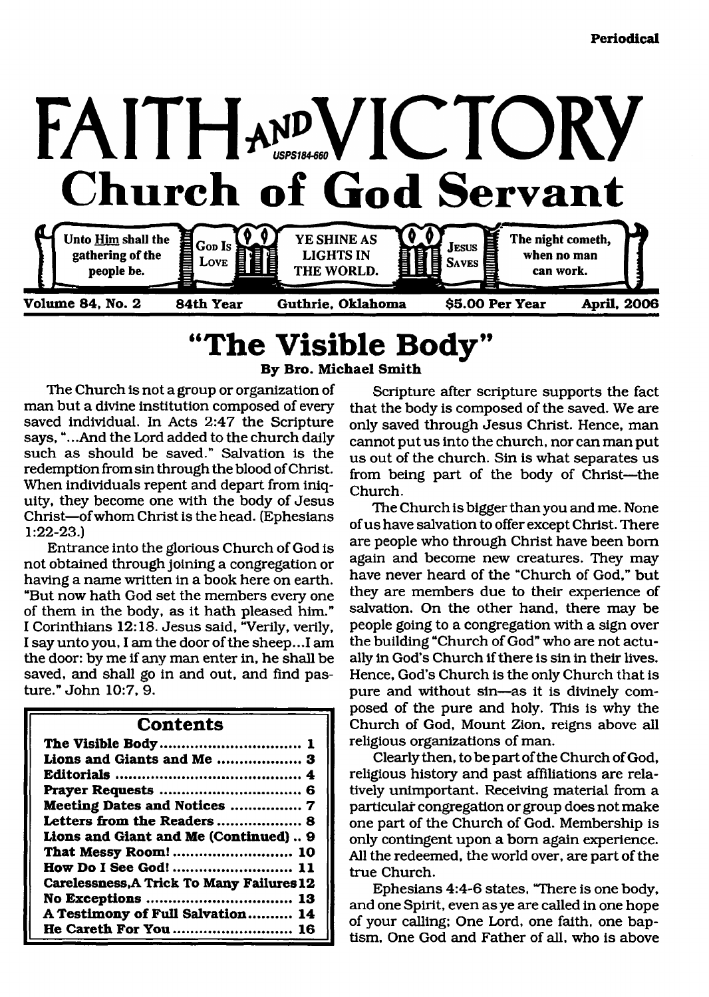

## <span id="page-0-0"></span>**"The Visible Body" By Bro. M ichael Smith**

The Church is not a group or organization of man but a divine institution composed of every saved individual. In Acts 2:47 the Scripture says, "...And the Lord added to the church daily such as should be saved." Salvation is the redemption from sin through the blood of Christ. When individuals repent and depart from iniquity, they become one with the body of Jesus Christ—of whom Christ is the head. (Ephesians 1:22-23.)

Entrance into the glorious Church of God is not obtained through joining a congregation or having a name written in a book here on earth. "But now hath God set the members every one of them in the body, as it hath pleased him." I Corinthians 12:18. Jesus said, "Verily, verily, I say unto you, I am the door of the sheep.. .1 am the door: by me if any man enter in, he shall be saved, and shall go in and out, and find pasture." John 10:7, 9.

### **Contents**

| Lions and Giants and Me  3<br>Meeting Dates and Notices  7<br>Lions and Giant and Me (Continued) 9<br>That Messy Room!  10<br><b>How Do I See God!</b> 11<br><b>Carelessness, A Trick To Many Failures 12</b><br>A Testimony of Full Salvation 14 | The Visible Body 1    |
|---------------------------------------------------------------------------------------------------------------------------------------------------------------------------------------------------------------------------------------------------|-----------------------|
|                                                                                                                                                                                                                                                   |                       |
|                                                                                                                                                                                                                                                   |                       |
|                                                                                                                                                                                                                                                   |                       |
|                                                                                                                                                                                                                                                   |                       |
|                                                                                                                                                                                                                                                   |                       |
|                                                                                                                                                                                                                                                   |                       |
|                                                                                                                                                                                                                                                   |                       |
|                                                                                                                                                                                                                                                   |                       |
|                                                                                                                                                                                                                                                   |                       |
|                                                                                                                                                                                                                                                   |                       |
|                                                                                                                                                                                                                                                   |                       |
|                                                                                                                                                                                                                                                   | He Careth For You  16 |

Scripture after scripture supports the fact that the body is composed of the saved. We are only saved through Jesus Christ. Hence, man cannot put us into the church, nor can man put us out of the church. Sin is what separates us from being part of the body of Christ—the Church.

The Church is bigger than you and me. None of us have salvation to offer except Christ. There are people who through Christ have been bom again and become new creatures. They may have never heard of the "Church of God," but they are members due to their experience of salvation. On the other hand, there may be people going to a congregation with a sign over the building "Church of God" who are not actually in God's Church if there is sin in their lives. Hence, God's Church is the only Church that is pure and without sin—as it is divinely composed of the pure and holy. This is why the Church of God, Mount Zion, reigns above all religious organizations of man.

Clearly then, to be part of the Church of God, religious history and past affiliations are relatively unimportant. Receiving material from a particular congregation or group does not make one part of the Church of God. Membership is only contingent upon a bom again experience. All the redeemed, the world over, are part of the true Church.

Ephesians 4:4-6 states, "There is one body, and one Spirit, even as ye are called in one hope of your calling; One Lord, one faith, one baptism, One God and Father of all, who is above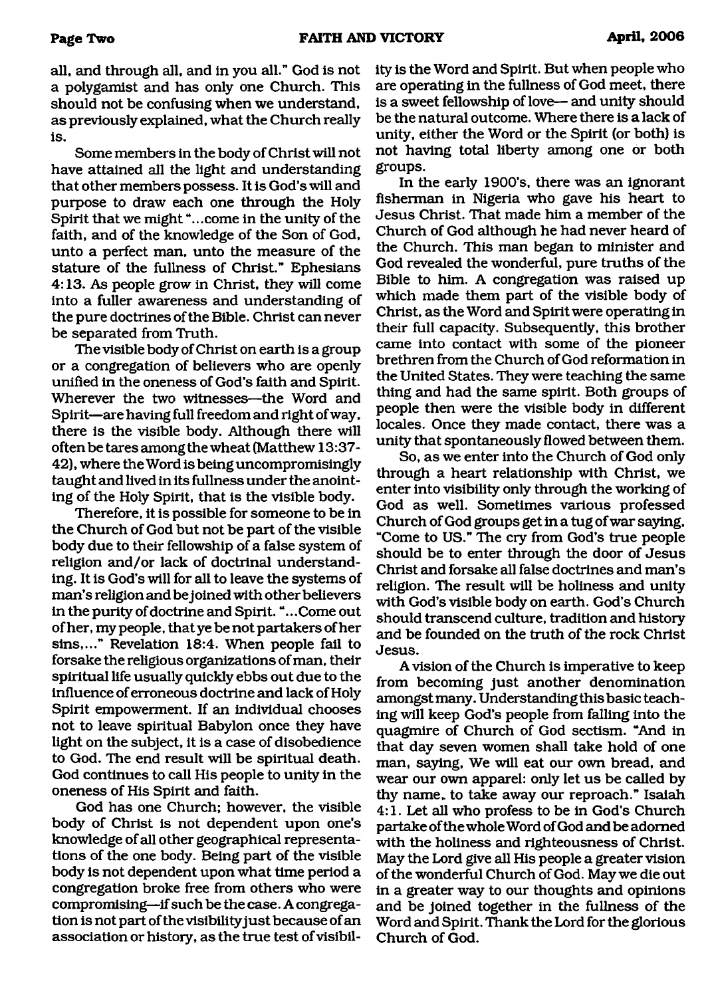all, and through all, and in you all." God is not a polygamist and has only one Church. This should not be confusing when we understand, as previously explained, what the Church really is.

Some members in the body of Christ will not have attained all the light and understanding that other members possess. It is God's will and purpose to draw each one through the Holy Spirit that we might "...come in the unity of the faith, and of the knowledge of the Son of God, unto a perfect man, unto the measure of the stature of the fullness of Christ." Ephesians 4:13. As people grow in Christ, they will come into a fuller awareness and understanding of the pure doctrines of the Bible. Christ can never be separated from Truth.

The visible body of Christ on earth is a group or a congregation of believers who are openly unified in the oneness of God's faith and Spirit. Wherever the two witnesses—the Word and Spirit—are having full freedom and right of way, there is the visible body. Although there will often be tares among the wheat (Matthew 13:37- 42), where the Word is being uncompromisingly taught and lived in its fullness under the anointing of the Holy Spirit, that is the visible body.

Therefore, it is possible for someone to be in the Church of God but not be part of the visible body due to their fellowship of a false system of religion and/or lack of doctrinal understanding. It is God's will for all to leave the systems of man's religion and be joined with other believers in the purity of doctrine and Spirit. ".. .Come out of her, my people, that ye be not partakers of her sins,..." Revelation 18:4. When people fail to forsake the religious organizations of man, their spiritual life usually quickly ebbs out due to the influence of erroneous doctrine and lack of Holy Spirit empowerment. If an individual chooses not to leave spiritual Babylon once they have light on the subject, it is a case of disobedience to God. The end result will be spiritual death. God continues to call His people to unity in the oneness of His Spirit and faith.

God has one Church; however, the visible body of Christ is not dependent upon one's knowledge of all other geographical representations of the one body. Being part of the visible body is not dependent upon what time period a congregation broke free from others who were compromising—if such be the case. A congregation is not part of the visibilityjust because of an association or history, as the true test of visibility is the Word and Spirit. But when people who are operating in the fullness of God meet, there is a sweet fellowship of love— and unity should be the natural outcome. Where there is a lack of unity, either the Word or the Spirit (or both) is not having total liberty among one or both groups.

In the early 1900's, there was an ignorant fisherman in Nigeria who gave his heart to Jesus Christ. That made him a member of the Church of God although he had never heard of the Church. This man began to minister and God revealed the wonderful, pure truths of the Bible to him. A congregation was raised up which made them part of the visible body of Christ, as the Word and Spirit were operating in their full capacity. Subsequently, this brother came into contact with some of the pioneer brethren from the Church of God reformation in the United States. They were teaching the same thing and had the same spirit. Both groups of people then were the visible body in different locales. Once they made contact, there was a unity that spontaneously flowed between them.

So, as we enter into the Church of God only through a heart relationship with Christ, we enter into visibility only through the working of God as well. Sometimes various professed Church of God groups get in a tug of war saying, "Come to US." The cry from God's true people should be to enter through the door of Jesus Christ and forsake all false doctrines and man's religion. The result will be holiness and unity with God's visible body on earth. God's Church should transcend culture, tradition and history and be founded on the truth of the rock Christ Jesus.

A vision of the Church is imperative to keep from becoming just another denomination amongst many. Understanding this basic teaching will keep God's people from falling into the quagmire of Church of God sectism. "And in that day seven women shall take hold of one man, saying, We will eat our own bread, and wear our own apparel: only let us be called by thy name, to take away our reproach." Isaiah 4:1. Let all who profess to be in God's Church partake of the whole Word of God and be adorned with the holiness and righteousness of Christ. May the Lord give all His people a greater vision of the wonderful Church of God. May we die out in a greater way to our thoughts and opinions and be joined together in the fullness of the Word and Spirit. Thank the Lord for the glorious Church of God.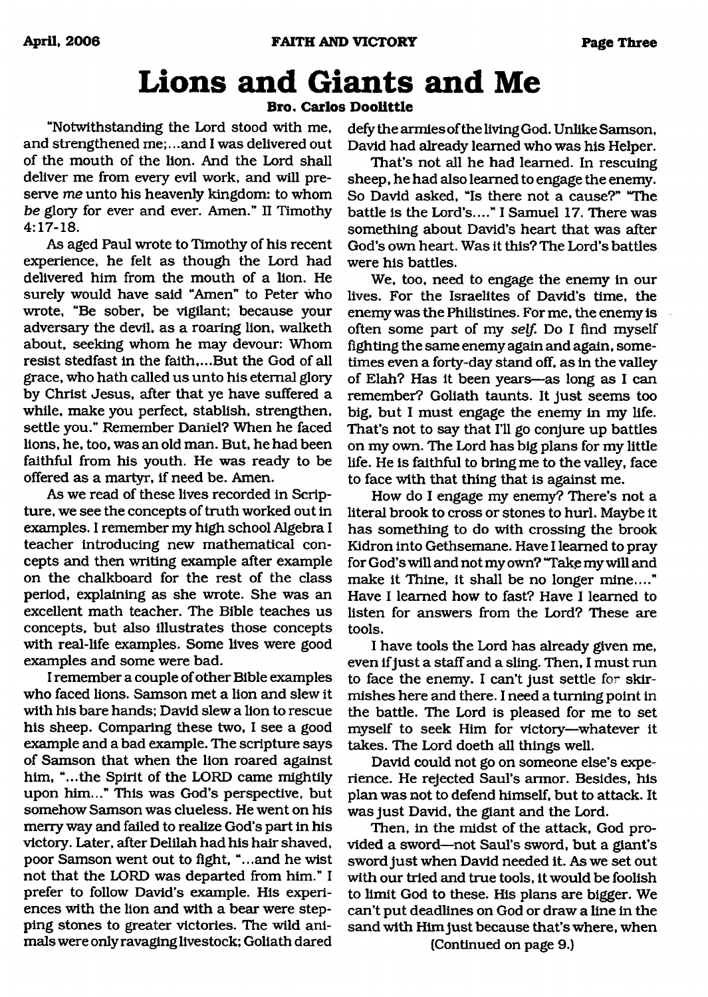# <span id="page-2-0"></span>**Lions and Giants and Me**

### **Bro. Carlos Doolittle**

"Notwithstanding the Lord stood with me, and strengthened me;...and I was delivered out of the mouth of the lion. And the Lord shall deliver me from every evil work, and will preserve me unto his heavenly kingdom: to whom *be* glory for ever and ever. Amen." II Timothy 4:17-18.

As aged Paul wrote to Timothy of his recent experience, he felt as though the Lord had delivered him from the mouth of a lion. He surely would have said "Amen" to Peter who wrote, "Be sober, be vigilant; because your adversary the devil, as a roaring lion, walketh about, seeking whom he may devour: Whom resist stedfast in the faith,...But the God of all grace, who hath called us unto his eternal glory by Christ Jesus, after that ye have suffered a while, make you perfect, stablish, strengthen, settle you." Remember Daniel? When he faced lions, he, too, was an old man. But, he had been faithful from his youth. He was ready to be offered as a martyr, if need be. Amen.

As we read of these lives recorded in Scripture, we see the concepts of truth worked out in examples. I remember my high school Algebra I teacher introducing new mathematical concepts and then writing example after example on the chalkboard for the rest of the class period, explaining as she wrote. She was an excellent math teacher. The Bible teaches us concepts, but also illustrates those concepts with real-life examples. Some lives were good examples and some were bad.

I remember a couple of other Bible examples who faced lions. Samson met a lion and slew it with his bare hands; David slew a lion to rescue his sheep. Comparing these two, I see a good example and a bad example. The scripture says of Samson that when the lion roared against him, "...the Spirit of the LORD came mightily upon him..." This was God's perspective, but somehow Samson was clueless. He went on his merry way and failed to realize God's part in his victory. Later, after Delilah had his hair shaved, poor Samson went out to fight, "...and he wist not that the LORD was departed from him." I prefer to follow David's example. His experiences with the lion and with a bear were stepping stones to greater victories. The wild animals were only ravaging livestock; Goliath dared defy the armies of the living God. Unlike Samson, David had already learned who was his Helper.

That's not all he had learned. In rescuing sheep, he had also learned to engage the enemy. So David asked, "Is there not a cause?" "The battle is the Lord's...." I Samuel 17. There was something about David's heart that was after God's own heart. Was it this? The Lord's battles were his battles.

We, too, need to engage the enemy in our lives. For the Israelites of David's time, the enemy was the Philistines. For me, the enemy is often some part of my *self.* Do I find myself fighting the same enemy again and again, sometimes even a forty-day stand off, as in the valley of Elah? Has it been years—as long as I can remember? Goliath taunts. It just seems too big, but I must engage the enemy in my life. That's not to say that I'll go conjure up battles on my own. The Lord has big plans for my little life. He is faithful to bring me to the valley, face to face with that thing that is against me.

How do I engage my enemy? There's not a literal brook to cross or stones to hurl. Maybe it has something to do with crossing the brook Kidron into Gethsemane. Have I learned to pray for God's will and not my own? "Take my will and make it Thine, it shall be no longer mine...." Have I learned how to fast? Have I learned to listen for answers from the Lord? These are tools.

I have tools the Lord has already given me, even if just a staff and a sling. Then, I must run to face the enemy. I can't just settle for skirmishes here and there. I need a turning point in the battle. The Lord is pleased for me to set myself to seek Him for victory—whatever it takes. The Lord doeth all things well.

David could not go on someone else's experience. He rejected Saul's armor. Besides, his plan was not to defend himself, but to attack. It was just David, the giant and the Lord.

Then, in the midst of the attack, God provided a sword—not Saul's sword, but a giant's sword just when David needed it. As we set out with our tried and true tools, it would be foolish to limit God to these. His plans are bigger. We can't put deadlines on God or draw a line in the sand with Him just because that's where, when

(Continued on page 9.)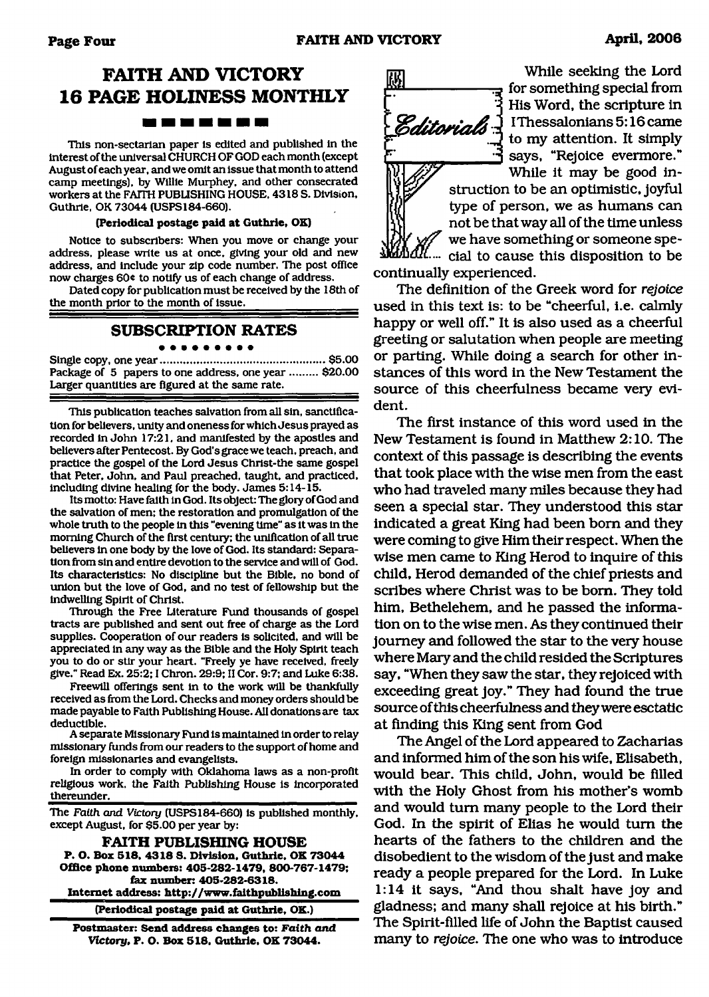## **FAITH AND VICTORY 16 PAGE HOLINESS MONTHLY**

This non-sectarian paper is edited and published in the interest of the universal CHURCH OF GOD each month (except August of each year, and we omit an issue that month to attend camp meetings), by Willie Murphey, and other consecrated workers at the FAITH PUBLISHING HOUSE, 4318 S. Division, Guthrie. OK 73044 (USPS184-660).

### **(Periodical postage paid at Guthrie, OK)**

Notice to subscribers: When you move or change your address, please write us at once, giving your old and new address, and include your zip code number. The post office now charges 60 $*$  to notify us of each change of address.

Dated copy for publication must be received by the 18th of the month prior to the month of issue.

### **SUBSCRIPTION RATES**

### ------

Single copy, one year......................................................\$5.00 Package of 5 papers to one address, one year ......... \$20.00 Larger quantities are figured at the same rate.

This publication teaches salvation from all sin, sanctification for believers, unity and oneness for which Jesus prayed as recorded in John 17:21, and manifested by the apostles and believers after Pentecost. By God's grace we teach, preach, and practice the gospel of the Lord Jesus Christ-the same gospel that Peter, John, and Paul preached, taught, and practiced, including divine healing for the body. James 5:14-15.

Its motto: Have faith in God. Its object: The glory of God and the salvation of men; the restoration and promulgation of the whole truth to the people in this "evening time" as it was in the morning Church of the first century; the unification of all true believers in one body by the love of God. Its standard: Separation from sin and entire devotion to the service and will of God. Its characteristics: No discipline but the Bible, no bond of union but the love of God, and no test of fellowship but the indwelling Spirit of Christ.

Through the Free Literature Fund thousands of gospel tracts are published and sent out free of charge as the Lord supplies. Cooperation of our readers is solicited, and will be appreciated in any way as the Bible and the Holy Spirit teach you to do or stir your heart. "Freely ye have received, freely give." Read Ex. 25:2; I Chron. 29:9; II Cor. 9:7; and Luke 6:38.

Freewill offerings sent in to the work will be thankfully received as from the Lord. Checks and money orders should be made payable to Faith Publishing House. All donations are tax deductible.

A separate Missionary Fund is maintained in order to relay missionary funds from our readers to the support of home and foreign missionaries and evangelists.

In order to comply with Oklahoma laws as a non-profit religious work, the Faith Publishing House is Incorporated thereunder.

The *Faith and Victory* (USPS184-660) is published monthly, except August, for \$5.00 per year by:

**FAITH PUBLISHING HOUSE P. O. Box 518. 4318 S. Division, Guthrie. OK 73044 Office phone numbers: 405-282-1479, 800-767-1479; fax number: 405-282-6318. Internet address: <http://www.fiaithpublishing.com>**

**(Periodical postage paid at Guthrie, OK.)**

**Postmaster: Send address changes to:** *Faith and Victory,* **P. O. Box 518, Guthrie, OK 73044.**



While seeking the Lord for something special from His Word, the scripture in Editorials 1 IThessalonians 5:16 came to my attention. It simply says, "Rejoice evermore."

While it may be good instruction to be an optimistic, joyful type of person, we as humans can not be that way all of the time unless we have something or someone spe- $I\!\!I\!\!I'$ .... cial to cause this disposition to be continually experienced.

The definition of the Greek word for *rejoice* used in this text is: to be "cheerful, i.e. calmly happy or well off." It is also used as a cheerful greeting or salutation when people are meeting or parting. While doing a search for other instances of this word in the New Testament the source of this cheerfulness became very evident.

The first instance of this word used in the New Testament is found in Matthew 2:10. The context of this passage is describing the events that took place with the wise men from the east who had traveled many miles because they had seen a special star. They understood this star indicated a great King had been bom and they were coming to give Him their respect. When the wise men came to King Herod to inquire of this child, Herod demanded of the chief priests and scribes where Christ was to be bom. They told him, Bethelehem, and he passed the information on to the wise men. As they continued their journey and followed the star to the very house where Mary and the child resided the Scriptures say, "When they saw the star, they rejoiced with exceeding great joy." They had found the true source of this cheerfulness and they were esctatic at finding this King sent from God

The Angel of the Lord appeared to Zacharias and informed him of the son his wife, Elisabeth, would bear. This child, John, would be filled with the Holy Ghost from his mother's womb and would turn many people to the Lord their God. In the spirit of Elias he would turn the hearts of the fathers to the children and the disobedient to the wisdom of the just and make ready a people prepared for the Lord. In Luke 1:14 it says, "And thou shalt have joy and gladness; and many shall rejoice at his birth." The Spirit-filled life of John the Baptist caused many to *rejoice.* The one who was to introduce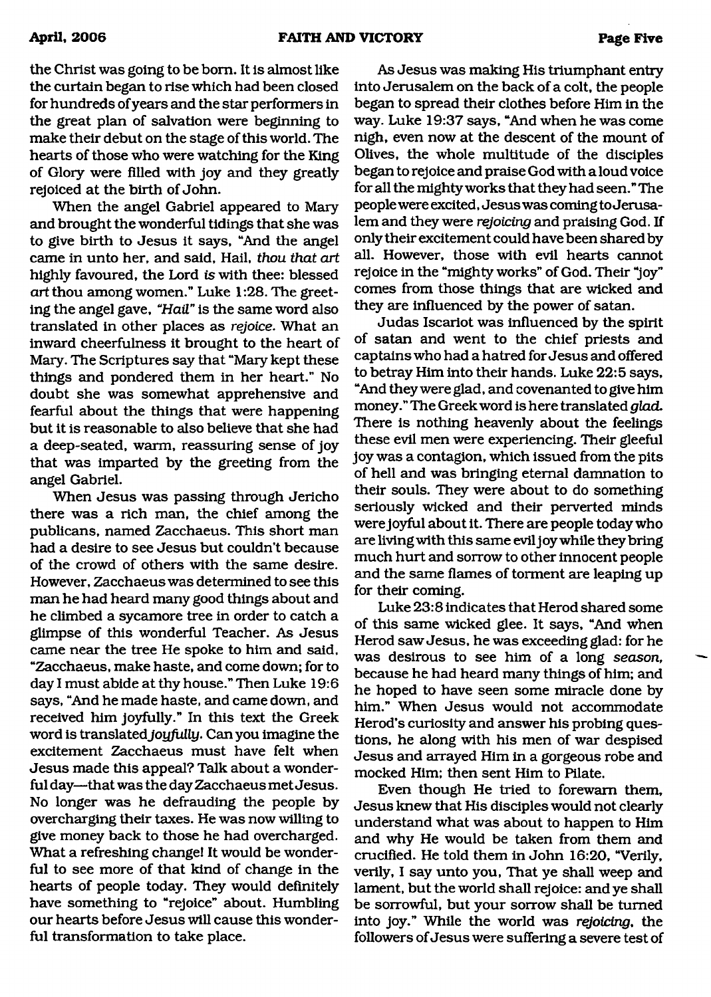the Christ was going to be bom. It is almost like the curtain began to rise which had been closed for hundreds of years and the star performers in the great plan of salvation were beginning to make their debut on the stage of this world. The hearts of those who were watching for the King of Glory were filled with joy and they greatly rejoiced at the birth of John.

When the angel Gabriel appeared to Mary and brought the wonderful tidings that she was to give birth to Jesus it says, "And the angel came in unto her, and said, Hail, *thou that art* highly favoured, the Lord *is* with thee: blessed *art* thou among women." Luke 1:28. The greeting the angel gave, "Hail" is the same word also translated in other places as *rejoice*. What an inward cheerfulness it brought to the heart of Mary. The Scriptures say that "Mary kept these things and pondered them in her heart." No doubt she was somewhat apprehensive and fearful about the things that were happening but it is reasonable to also believe that she had a deep-seated, warm, reassuring sense of joy that was imparted by the greeting from the angel Gabriel.

When Jesus was passing through Jericho there was a rich man, the chief among the publicans, named Zacchaeus. This short man had a desire to see Jesus but couldn't because of the crowd of others with the same desire. However, Zacchaeus was determined to see this man he had heard many good things about and he climbed a sycamore tree in order to catch a glimpse of this wonderful Teacher. As Jesus came near the tree He spoke to him and said, "Zacchaeus, make haste, and come down; for to day I must abide at thy house." Then Luke 19:6 says, "And he made haste, and came down, and received him joyfully." In this text the Greek word is translated *joyfully.* Can you imagine the excitement Zacchaeus must have felt when Jesus made this appeal? Talk about a wonderful day—that was the day Zacchaeus met Jesus. No longer was he defrauding the people by overcharging their taxes. He was now willing to give money back to those he had overcharged. What a refreshing change! It would be wonderful to see more of that kind of change in the hearts of people today. They would definitely have something to "rejoice" about. Humbling our hearts before Jesus will cause this wonderful transformation to take place.

As Jesus was making His triumphant entry into Jerusalem on the back of a colt, the people began to spread their clothes before Him in the way. Luke 19:37 says, "And when he was come nigh, even now at the descent of the mount of Olives, the whole multitude of the disciples began to rejoice and praise God with a loud voice for all the mighty works that they had seen." The people were excited, Jesus was coming to Jerusalem and they were *rejoicing* and praising God. If only their excitement could have been shared by all. However, those with evil hearts cannot rejoice in the "mighty works" of God. Their "joy" comes from those things that are wicked and they are influenced by the power of satan.

Judas Iscariot was influenced by the spirit of satan and went to the chief priests and captains who had a hatred for Jesus and offered to betray Him into their hands. Luke 22:5 says, "And they were glad, and covenanted to give him money." The Greek word is here translated *glad.* There is nothing heavenly about the feelings these evil men were experiencing. Their gleeful joy was a contagion, which issued from the pits of hell and was bringing eternal damnation to their souls. They were about to do something seriously wicked and their perverted minds were joyful about it. There are people today who are living with this same evil joy while they bring much hurt and sorrow to other innocent people and the same flames of torment are leaping up for their coming.

Luke 23:8 indicates that Herod shared some of this same wicked glee. It says, "And when Herod saw Jesus, he was exceeding glad: for he was desirous to see him of a long *season*, because he had heard many things of him; and he hoped to have seen some miracle done by him." When Jesus would not accommodate Herod's curiosity and answer his probing questions, he along with his men of war despised Jesus and arrayed Him in a gorgeous robe and mocked Him; then sent Him to Pilate.

Even though He tried to forewarn them, Jesus knew that His disciples would not clearly understand what was about to happen to Him and why He would be taken from them and crucified. He told them in John 16:20, "Verily, verily, I say unto you, That ye shall weep and lament, but the world shall rejoice: and ye shall be sorrowful, but your sorrow shall be turned into joy." While the world was *rejoicing,* the followers of Jesus were suffering a severe test of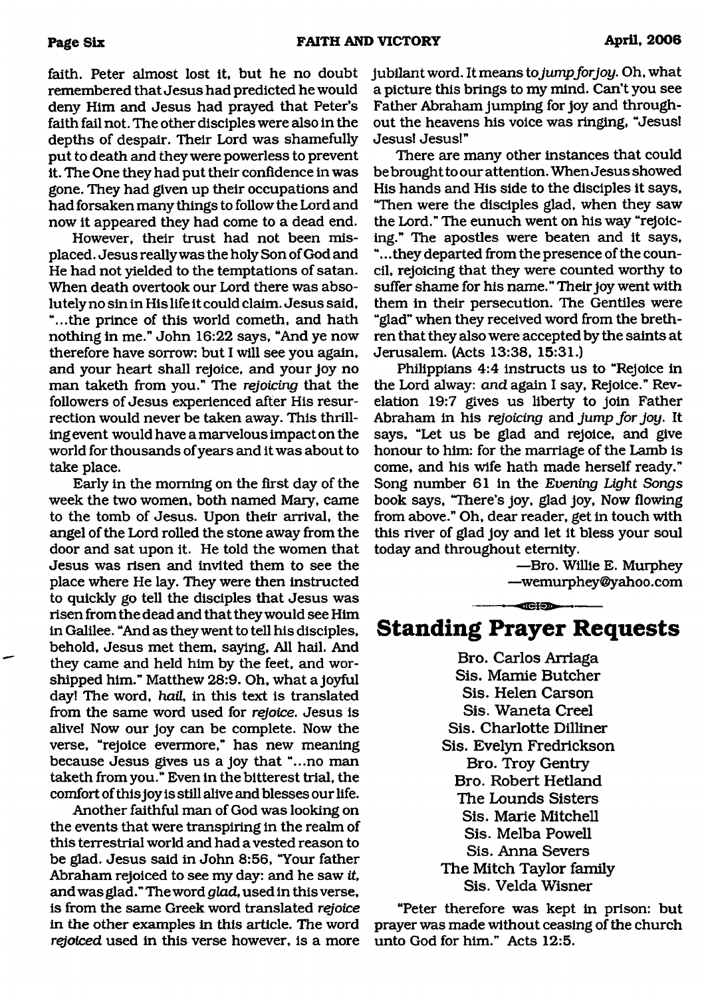faith. Peter almost lost it, but he no doubt remembered that Jesus had predicted he would deny Him and Jesus had prayed that Peter's faith fail not. The other disciples were also in the depths of despair. Their Lord was shamefully put to death and they were powerless to prevent it. The One they had put their confidence in was gone. They had given up their occupations and had forsaken many things to follow the Lord and now it appeared they had come to a dead end.

However, their trust had not been misplaced. Jesus really was the holy Son of God and He had not yielded to the temptations of satan. When death overtook our Lord there was absolutely no sin in His life it could claim. Jesus said, "...the prince of this world cometh, and hath nothing in me." John 16:22 says, "And ye now therefore have sorrow: but I will see you again, and your heart shall rejoice, and your joy no man taketh from you." The *rejoicing* that the followers of Jesus experienced after His resurrection would never be taken away. This thrilling event would have a marvelous impact on the world for thousands of years and it was about to take place.

Early in the morning on the first day of the week the two women, both named Mary, came to the tomb of Jesus. Upon their arrival, the angel of the Lord rolled the stone away from the door and sat upon it. He told the women that Jesus was risen and invited them to see the place where He lay. They were then instructed to quickly go tell the disciples that Jesus was risen from the dead and that they would see Him in Galilee. "And as they went to tell his disciples, behold, Jesus met them, saying, All hail. And they came and held him by the feet, and worshipped him." Matthew 28:9. Oh, what a joyful day! The word, *hail,* in this text is translated from the same word used for *rejoice.* Jesus is alive! Now our joy can be complete. Now the verse, "rejoice evermore," has new meaning because Jesus gives us a joy that "...no man taketh from you." Even in the bitterest trial, the comfort of this joy is still alive and blesses our life.

Another faithful man of God was looking on the events that were transpiring in the realm of this terrestrial world and had a vested reason to be glad. Jesus said in John 8:56, "Your father Abraham rejoiced to see my day: and he saw *it,* and was glad."Theword *glad,* used in this verse, is from the same Greek word translated *rejoice* in the other examples in this article. The word *rejoiced* used in this verse however, is a more jubilant word. It means to jump for joy. Oh, what a picture this brings to my mind. Can't you see Father Abraham jumping for joy and throughout the heavens his voice was ringing, "Jesus! Jesus! Jesus!"

There are many other instances that could be brought to our attention. When Jesus showed His hands and His side to the disciples it says, "Then were the disciples glad, when they saw the Lord." The eunuch went on his way "rejoicing." The apostles were beaten and it says, ".. .they departed from the presence of the council, rejoicing that they were counted worthy to suffer shame for his name." Their joy went with them in their persecution. The Gentiles were "glad" when they received word from the brethren that they also were accepted by the saints at Jerusalem. (Acts 13:38, 15:31.)

Philippians 4:4 instructs us to "Rejoice in the Lord alway: *and* again I say, Rejoice." Revelation 19:7 gives us liberty to join Father Abraham in his *rejoicing* and *jump for joy*. It says, "Let us be glad and rejoice, and give honour to him: for the marriage of the Lamb is come, and his wife hath made herself ready." Song number 61 in the *Evening Light Songs* book says, "There's joy, glad joy, Now flowing from above." Oh, dear reader, get in touch with this river of glad joy and let it bless your soul today and throughout eternity.

> —Bro. Willie E. Murphey —[wemurphey@yahoo.com](mailto:wemurphey@yahoo.com)

**Standing Prayer Requests**

 $-$ 

**Bro. Carlos Arriaga Sis. Mamie Butcher Sis. Helen Carson Sis. Waneta Creel Sis. Charlotte Dilliner Sis. Evelyn Fredrickson Bro. Troy Gentry Bro. Robert Hetland The Lounds Sisters Sis. Marie Mitchell Sis. Melba Powell Sis. Anna Severs The Mitch Taylor family** Sis. Velda Wisner

"Peter therefore was kept in prison: but prayer was made without ceasing of the church unto God for him." Acts 12:5.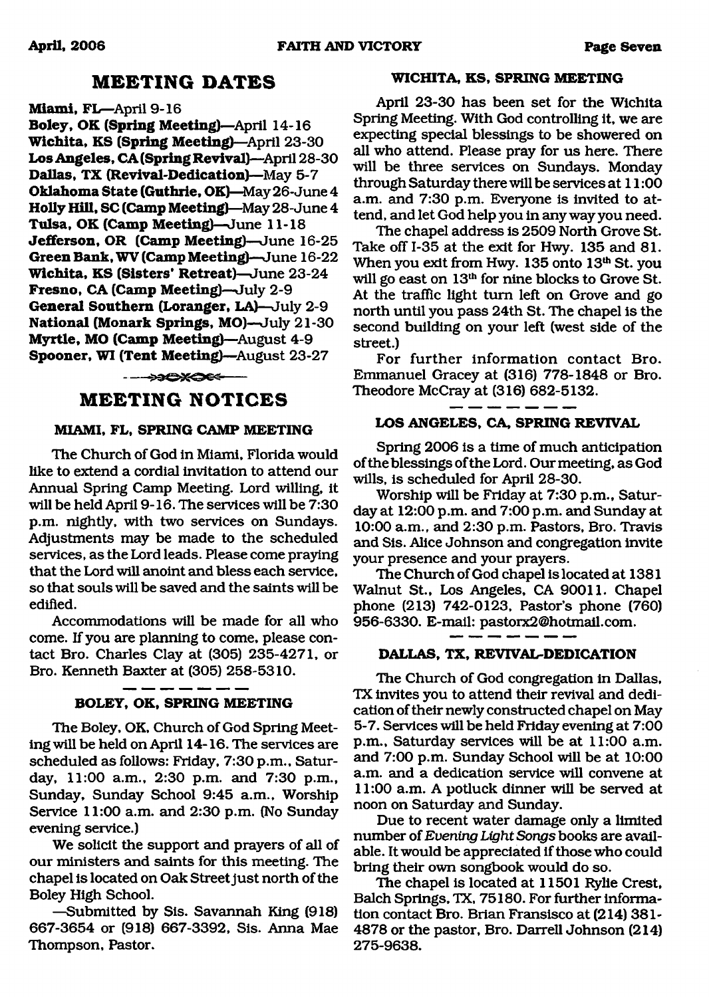### **M EETING DATES**

**Miami, FL-April 9-16** 

**Boley, OK (Spring Meeting)**—April 14-16 **W ichita, KS (Spring Meeting)**—April 23-30 **Los Angeles, CA (Spring Revival)**—April 28-30 **Dallas, TX (Revival-Dedication)**—May 5-7 **Oklahoma State (Guthrie, OK)**—May 26-June 4 **Holly Hill, SC (Camp Meeting)—**May 28- June 4 **Tulsa, OK (Camp Meeting)**—June 11-18 **Jefferson, OR (Camp Meeting)**—June 16-25 **Green Bank, WV (Camp Meeting)**—June 16-22 **W ichita, KS (Sisters\* Retreat)**—June 23-24 **Fresno, CA (Camp Meeting)**—July 2-9 **General Southern (Loranger, LA)**—July 2-9 **National (Monark Springs, MO)**—July 21-30 **Myrtle, MO (Camp Meeting)**—August 4-9 **Spooner, WI (Tent Meeting)—August 23-27** 

-----—

### **M EETING NOTICES**

### **MIAMI, FL, SPRING CAMP MEETING**

The Church of God in Miami, Florida would like to extend a cordial invitation to attend our Annual Spring Camp Meeting. Lord willing, it will be held April 9-16. The services will be 7:30 p.m. nightly, with two services on Sundays. Adjustments may be made to the scheduled services, as the Lord leads. Please come praying that the Lord will anoint and bless each service, so that souls will be saved and the saints will be edified.

Accommodations will be made for all who come. If you are planning to come, please contact Bro. Charles Clay at (305) 235-4271, or Bro. Kenneth Baxter at (305) 258-5310.

### **BOLEY, OK, SPRING MEETING**

The Boley, OK, Church of God Spring Meeting will be held on April 14-16. The services are scheduled as follows: Friday, 7:30 p.m., Saturday, 11:00 a.m., 2:30 p.m. and 7:30 p.m., Sunday, Sunday School 9:45 a.m., Worship Service 11:00 a.m. and 2:30 p.m. (No Sunday evening service.)

We solicit the support and prayers of all of our ministers and saints for this meeting. The chapel is located on Oak Street just north of the Boley High School.

—Submitted by Sis. Savannah King (918) 667-3654 or (918) 667-3392, Sis. Anna Mae Thompson, Pastor.

### **WICHITA, KS, SPRING MEETING**

April 23-30 has been set for the Wichita Spring Meeting. With God controlling it, we are expecting special blessings to be showered on all who attend. Please pray for us here. There will be three services on Sundays. Monday through Saturday there will be services at 11:00 a.m. and 7:30 p.m. Everyone is invited to attend, and let God help you in any way you need.

The chapel address is 2509 North Grove St. Take off 1-35 at the exit for Hwy. 135 and 81. When you exit from Hwy. 135 onto 13<sup>th</sup> St. you will go east on 13<sup>th</sup> for nine blocks to Grove St. At the traffic light turn left on Grove and go north until you pass 24th St. The chapel is the second building on your left (west side of the street.)

For further information contact Bro. Emmanuel Gracey at (316) 778-1848 or Bro. Theodore McCray at (316) 682-5132.

### **LOS ANGELES, CA, SPRING REVIVAL**

 $-$ 

Spring 2006 is a time of much anticipation of the blessings of the Lord. Our meeting, as God wills, is scheduled for April 28-30.

Worship will be Friday at 7:30 p.m., Saturday at 12:00 p.m. and 7:00 p.m. and Sunday at 10:00 a.m., and 2:30 p.m. Pastors, Bro. Travis and Sis. Alice Johnson and congregation invite your presence and your prayers.

The Church of God chapel is located at 1381 Walnut St., Los Angeles, CA 90011. Chapel phone (213) 742-0123, Pastor's phone (760) 956-6330. E-mail: [pastorx2@hotmail.com.](mailto:pastorx2@hotmail.com)

### **DALLAS, TX, REVIVAL-DEDICATION**

The Church of God congregation in Dallas, TX invites you to attend their revival and dedication of their newly constructed chapel on May 5-7. Services will be held Friday evening at 7:00 p.m., Saturday services will be at 11:00 a.m. and 7:00 p.m. Sunday School will be at 10:00 a.m. and a dedication service will convene at 11:00 a.m. A potluck dinner will be served at noon on Saturday and Sunday.

Due to recent water damage only a limited number of *Evening Light Songs* books are available. It would be appreciated if those who could bring their own songbook would do so.

The chapel is located at 11501 Rylie Crest, Balch Springs, TX, 75180. For further information contact Bro. Brian Fransisco at (214) 381- 4878 or the pastor, Bro. Darrell Johnson (214) 275-9638.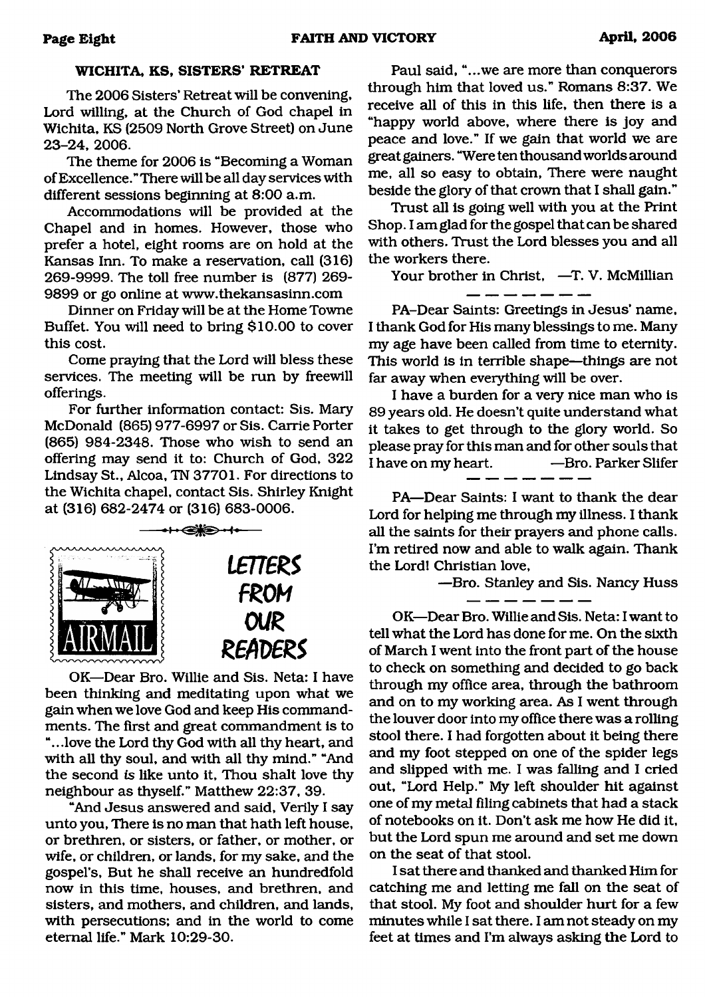### **WICHITA, KS, SISTERS' RETREAT**

The 2006 Sisters' Retreat will be convening, Lord willing, at the Church of God chapel in Wichita, KS (2509 North Grove Street) on June 23-24, 2006.

The theme for 2006 is "Becoming a Woman of Excellence. " There will be all day services with different sessions beginning at 8:00 a.m.

Accommodations will be provided at the Chapel and in homes. However, those who prefer a hotel, eight rooms are on hold at the Kansas Inn. To make a reservation, call (316) 269-9999. The toll free number is (877) 269- 9899 or go online at [www.thekansasinn.com](http://www.thekansasinn.com)

Dinner on Friday will be at the Home Towne Buffet. You will need to bring \$10.00 to cover this cost.

Come praying that the Lord will bless these services. The meeting will be run by freewill offerings.

For further information contact: Sis. Mary McDonald (865) 977-6997 or Sis. Carrie Porter (865) 984-2348. Those who wish to send an offering may send it to: Church of God, 322 Lindsay St., Alcoa, TN 37701. For directions to the Wichita chapel, contact Sis. Shirley Knight at (316) 682-2474 or (316) 683-0006.



OK—Dear Bro. Willie and Sis. Neta: I have been thinking and meditating upon what we gain when we love God and keep His commandments. The first and great commandment is to "...love the Lord thy God with all thy heart, and with all thy soul, and with all thy mind." "And the second *is* like unto it. Thou shalt love thy neighbour as thyself." Matthew 22:37, 39.

"And Jesus answered and said, Verily I say unto you, There is no man that hath left house, or brethren, or sisters, or father, or mother, or wife, or children, or lands, for my sake, and the gospel's, But he shall receive an hundredfold now in this time, houses, and brethren, and sisters, and mothers, and children, and lands, with persecutions; and in the world to come eternal life." Mark 10:29-30.

Paul said, "...we are more than conquerors through him that loved us." Romans 8:37. We receive all of this in this life, then there is a "happy world above, where there is joy and peace and love." If we gain that world we are great gainers. "Were ten thousand worlds around me, all so easy to obtain, There were naught beside the glory of that crown that I shall gain."

Trust all is going well with you at the Print Shop. I am glad for the gospel that can be shared with others. Trust the Lord blesses you and all the workers there.

Your brother in Christ, -T. V. McMillian

PA-Dear Saints: Greetings in Jesus' name, I thank God for His many blessings to me. Many my age have been called from time to eternity. This world is in terrible shape—things are not far away when everything will be over.

I have a burden for a very nice man who is 89 years old. He doesn't quite understand what it takes to get through to the glory world. So please pray for this man and for other souls that I have on my heart. — — Bro. Parker Slifer

PA—Dear Saints: I want to thank the dear Lord for helping me through my illness. I thank all the saints for their prayers and phone calls. I'm retired now and able to walk again. Thank the Lord! Christian love,

—Bro. Stanley and Sis. Nancy Huss

OK—Dear Bro. Willie and Sis. Neta: I want to tell what the Lord has done for me. On the sixth of March I went into the front part of the house to check on something and decided to go back through my office area, through the bathroom and on to my working area. As I went through the louver door into my office there was a rolling stool there. I had forgotten about it being there and my foot stepped on one of the spider legs and slipped with me. I was falling and I cried out, "Lord Help." My left shoulder hit against one of my metal filing cabinets that had a stack of notebooks on it. Don't ask me how He did it, but the Lord spun me around and set me down on the seat of that stool.

I sat there and thanked and thanked Him for catching me and letting me fall on the seat of that stool. My foot and shoulder hurt for a few minutes while I sat there. I am not steady on my feet at times and I'm always asking the Lord to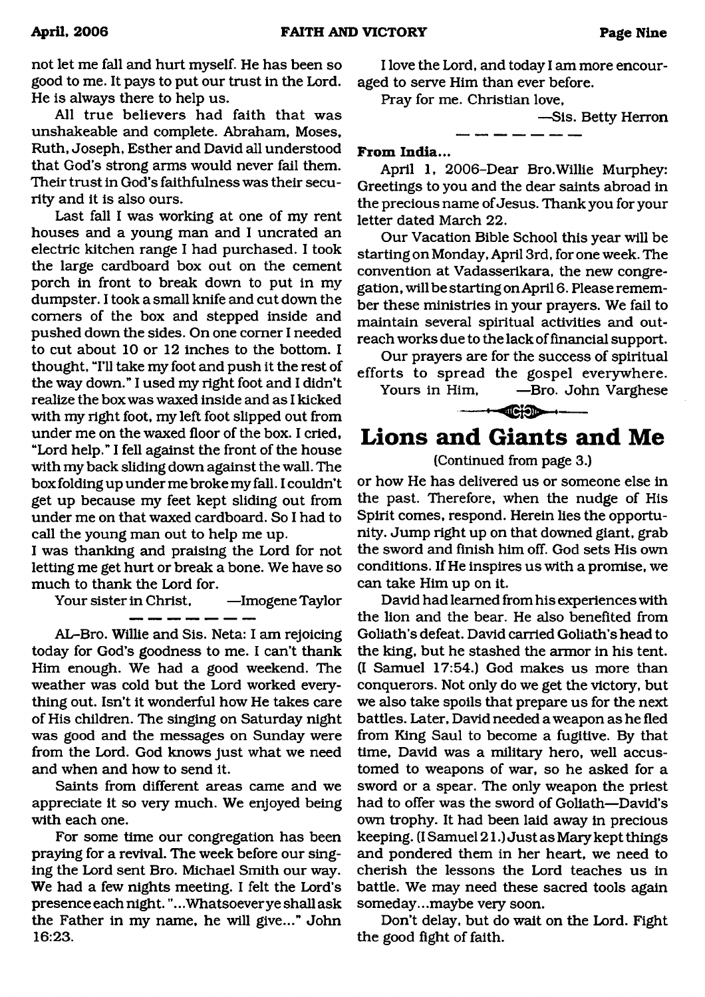not let me fall and hurt myself. He has been so good to me. It pays to put our trust in the Lord. He is always there to help us.

All true believers had faith that was unshakeable and complete. Abraham, Moses, Ruth, Joseph, Esther and David all understood that God's strong arms would never fail them. Their trust in God's faithfulness was their security and it is also ours.

Last fall I was working at one of my rent houses and a young man and I uncrated an electric kitchen range I had purchased. I took the large cardboard box out on the cement porch in front to break down to put in my dumpster. I took a small knife and cut down the comers of the box and stepped inside and pushed down the sides. On one comer I needed to cut about 10 or 12 inches to the bottom. I thought, "I'll take my foot and push it the rest of the way down." I used my right foot and I didn't realize the box was waxed inside and as I kicked with my right foot, my left foot slipped out from under me on the waxed floor of the box. I cried, "Lord help." I fell against the front of the house with my back sliding down against the wall. The box folding up under me broke my fall. I couldn't get up because my feet kept sliding out from under me on that waxed cardboard. So I had to call the young man out to help me up.

I was thanking and praising the Lord for not letting me get hurt or break a bone. We have so much to thank the Lord for.

Your sister in Christ, —Imogene Taylor

--------

AL-Bro. Willie and Sis. Neta: I am rejoicing today for God's goodness to me. I can't thank Him enough. We had a good weekend. The weather was cold but the Lord worked everything out. Isn't it wonderful how He takes care of His children. The singing on Saturday night was good and the messages on Sunday were from the Lord. God knows just what we need and when and how to send it.

Saints from different areas came and we appreciate it so very much. We enjoyed being with each one.

For some time our congregation has been praying for a revival. The week before our singing the Lord sent Bro. Michael Smith our way. We had a few nights meeting. I felt the Lord's presence each night.".. .Whatsoever ye shall ask the Father in my name, he will give..." John 16:23.

I love the Lord, and today I am more encouraged to serve Him than ever before.

Pray for me. Christian love,

—Sis. Betty Herron

### **From India...**

April 1, 2006-Dear Bro.Willie Murphey: Greetings to you and the dear saints abroad in the precious name of Jesus. Thank you for your letter dated March 22.

\_ \_\_\_ \_\_ \_\_ \_\_ \_\_

Our Vacation Bible School this year will be starting on Monday, April 3rd, for one week. The convention at Vadasserikara, the new congregation, will be starting on April 6. Please remember these ministries in your prayers. We fail to maintain several spiritual activities and outreach works due to the lack of financial support.

Our prayers are for the success of spiritual efforts to spread the gospel everywhere. Yours in Him, —Bro. John Varghese

 $-+$   $-$ 

## **Lions and Giants and Me**

(Continued from page 3.)

or how He has delivered us or someone else in the past. Therefore, when the nudge of His Spirit comes, respond. Herein lies the opportunity. Jump right up on that downed giant, grab the sword and finish him off. God sets His own conditions. If He inspires us with a promise, we can take Him up on it.

David had learned from his experiences with the lion and the bear. He also benefited from Goliath's defeat. David carried Goliath's head to the king, but he stashed the armor in his tent. (I Samuel 17:54.) God makes us more than conquerors. Not only do we get the victory, but we also take spoils that prepare us for the next battles. Later, David needed a weapon as he fled from King Saul to become a fugitive. By that time, David was a military hero, well accustomed to weapons of war, so he asked for a sword or a spear. The only weapon the priest had to offer was the sword of Goliath—David's own trophy. It had been laid away in precious keeping. (I Samuel 21.) Just as Mary kept things and pondered them in her heart, we need to cherish the lessons the Lord teaches us in battle. We may need these sacred tools again someday...maybe very soon.

Don't delay, but do wait on the Lord. Fight the good fight of faith.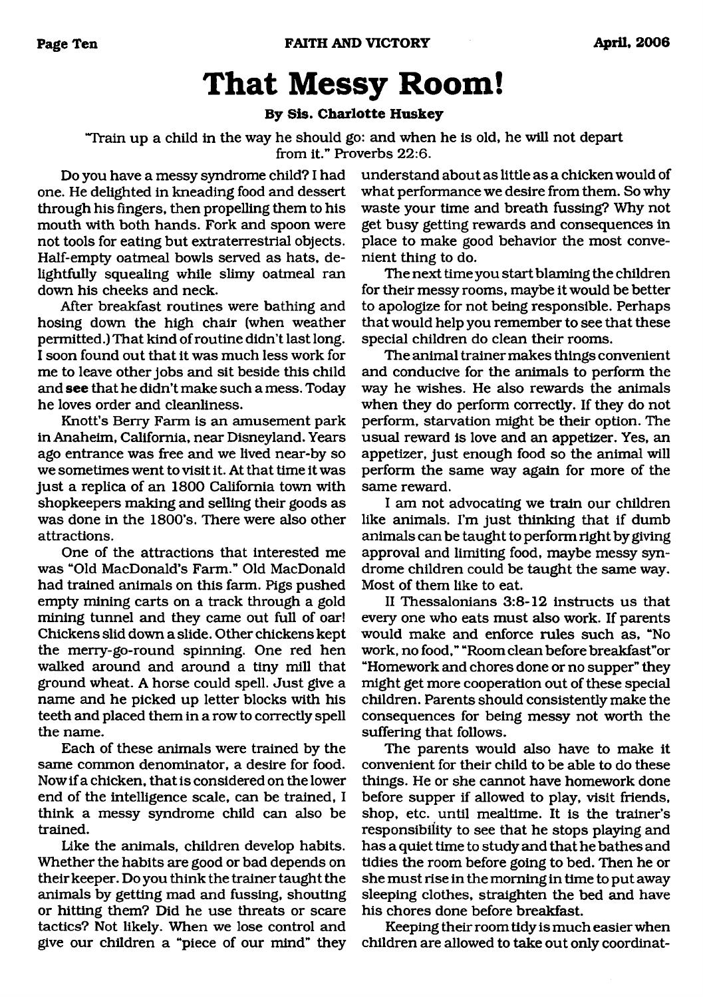# **That Messy Room!**

### **By Sis. Charlotte Huskey**

<span id="page-9-0"></span>"Train up a child in the way he should go: and when he is old, he will not depart from it." Proverbs 22:6.

Do you have a messy syndrome child? I had one. He delighted in kneading food and dessert through his fingers, then propelling them to his mouth with both hands. Fork and spoon were not tools for eating but extraterrestrial objects. Half-empty oatmeal bowls served as hats, delightfully squealing while slimy oatmeal ran down his cheeks and neck.

After breakfast routines were bathing and hosing down the high chair (when weather permitted.) That kind of routine didn't last long. I soon found out that it was much less work for me to leave other jobs and sit beside this child and **see** that he didn't make such a mess. Today he loves order and cleanliness.

Knott's Berry Farm is an amusement park in Anaheim, California, near Disneyland. Years ago entrance was free and we lived near-by so we sometimes went to visit it. At that time it was just a replica of an 1800 California town with shopkeepers making and selling their goods as was done in the 1800's. There were also other attractions.

One of the attractions that interested me was "Old MacDonald's Farm." Old MacDonald had trained animals on this farm. Pigs pushed empty mining carts on a track through a gold mining tunnel and they came out full of oar! Chickens slid down a slide. Other chickens kept the merry-go-round spinning. One red hen walked around and around a tiny mill that ground wheat. A horse could spell. Just give a name and he picked up letter blocks with his teeth and placed them in a row to correctly spell the name.

Each of these animals were trained by the same common denominator, a desire for food. Now if a chicken, that is considered on the lower end of the intelligence scale, can be trained, I think a messy syndrome child can also be trained.

Like the animals, children develop habits. Whether the habits are good or bad depends on their keeper. Do you think the trainer taught the animals by getting mad and fussing, shouting or hitting them? Did he use threats or scare tactics? Not likely. When we lose control and give our children a "piece of our mind" they understand about as little as a chicken would of what performance we desire from them. So why waste your time and breath fussing? Why not get busy getting rewards and consequences in place to make good behavior the most convenient thing to do.

The next time you start blaming the children for their messy rooms, maybe it would be better to apologize for not being responsible. Perhaps that would help you remember to see that these special children do clean their rooms.

The animal trainer makes things convenient and conducive for the animals to perform the way he wishes. He also rewards the animals when they do perform correctly. If they do not perform, starvation might be their option. The usual reward is love and an appetizer. Yes, an appetizer, just enough food so the animal will perform the same way again for more of the same reward.

I am not advocating we train our children like animals. I'm just thinking that if dumb animals can be taught to perform right by giving approval and limiting food, maybe messy syndrome children could be taught the same way. Most of them like to eat.

II Thessalonians 3:8-12 instructs us that every one who eats must also work. If parents would make and enforce rules such as, "No work, no food," "Room clean before breakfast"or "Homework and chores done or no supper" they might get more cooperation out of these special children. Parents should consistently make the consequences for being messy not worth the suffering that follows.

The parents would also have to make it convenient for their child to be able to do these things. He or she cannot have homework done before supper if allowed to play, visit friends, shop, etc. until mealtime. It is the trainer's responsibility to see that he stops playing and has a quiet time to study and that he bathes and tidies the room before going to bed. Then he or she must rise in the morning in time to put away sleeping clothes, straighten the bed and have his chores done before breakfast.

Keeping their room tidy is much easier when children are allowed to take out only coordinat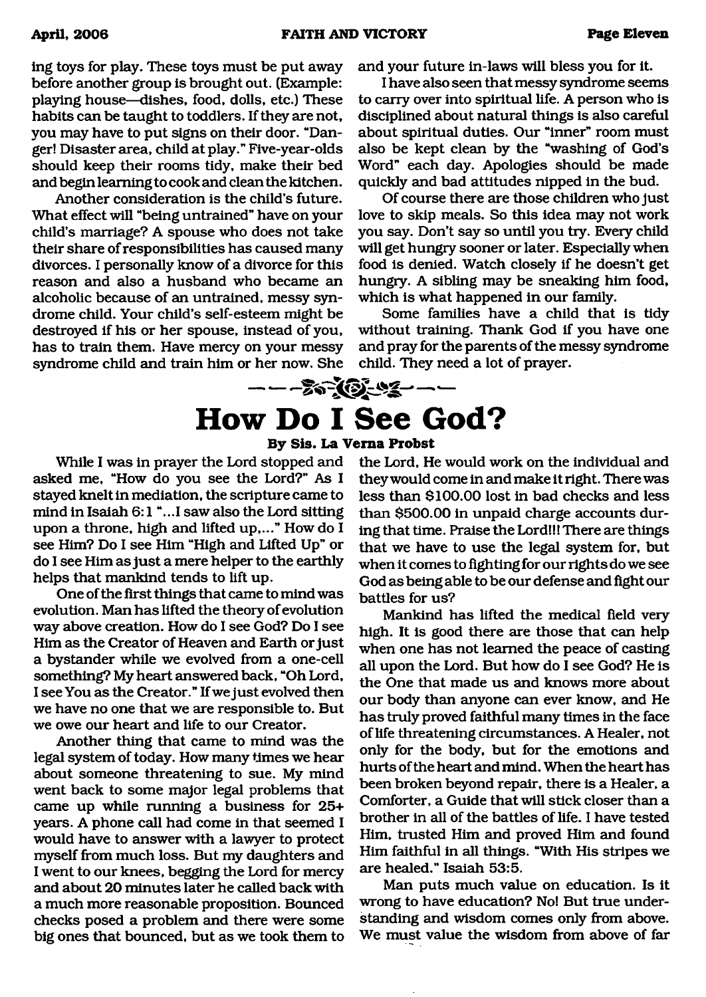ing toys for play. These toys must be put away before another group is brought out. (Example: playing house—dishes, food, dolls, etc.) These habits can be taught to toddlers. If they are not, you may have to put signs on their door. "Danger! Disaster area, child at play." Five-year-olds should keep their rooms tidy, make their bed and begin learning to cook and clean the kitchen.

Another consideration is the child's future. What effect will "being untrained" have on your child's marriage? A spouse who does not take their share of responsibilities has caused many divorces. I personally know of a divorce for this reason and also a husband who became an alcoholic because of an untrained, messy syndrome child. Your child's self-esteem might be destroyed if his or her spouse, instead of you, has to train them. Have mercy on your messy syndrome child and train him or her now. She and your future in-laws will bless you for it.

I have also seen that messy syndrome seems to carry over into spiritual life. A person who is disciplined about natural things is also careful about spiritual duties. Our "inner" room must also be kept clean by the "washing of God's Word" each day. Apologies should be made quickly and bad attitudes nipped in the bud.

Of course there are those children who just love to skip meals. So this idea may not work you say. Don't say so until you try. Every child will get hungry sooner or later. Especially when food is denied. Watch closely if he doesn't get hungry. A sibling may be sneaking him food, which is what happened in our family.

Some families have a child that is tidy without training. Thank God if you have one and pray for the parents of the messy syndrome child. They need a lot of prayer.

# <span id="page-10-0"></span>---------- ------------------------------ **How Do I See God?**

### **By Sis. La Verna Probst**

While I was in prayer the Lord stopped and asked me, "How do you see the Lord?" As I stayed knelt in mediation, the scripture came to mind in Isaiah 6:1 "...I saw also the Lord sitting upon a throne, high and lifted up,..." How do I see Him? Do I see Him "High and Lifted Up" or do I see Him as just a mere helper to the earthly helps that mankind tends to lift up.

One of the first things that came to mind was evolution. Man has lifted the theory of evolution way above creation. How do I see God? Do I see Him as the Creator of Heaven and Earth or just a bystander while we evolved from a one-cell something? My heart answered back, "Oh Lord, I see You as the Creator." If we just evolved then we have no one that we are responsible to. But we owe our heart and life to our Creator.

Another thing that came to mind was the legal system of today. How many times we hear about someone threatening to sue. My mind went back to some major legal problems that came up while running a business for 25+ years. A phone call had come in that seemed I would have to answer with a lawyer to protect myself from much loss. But my daughters and I went to our knees, begging the Lord for mercy and about 20 minutes later he called back with a much more reasonable proposition. Bounced checks posed a problem and there were some big ones that bounced, but as we took them to

the Lord, He would work on the individual and they would come in and make it right. There was less than \$100.00 lost in bad checks and less than \$500.00 in unpaid charge accounts during that time. Praise the Lord!!! There are things that we have to use the legal system for, but when it comes to fighting for our rights do we see God as being able to be our defense and fight our battles for us?

Mankind has lifted the medical field very high. It is good there are those that can help when one has not learned the peace of casting all upon the Lord. But how do I see God? He is the One that made us and knows more about our body than anyone can ever know, and He has truly proved faithful many times in the face of life threatening circumstances. A Healer, not only for the body, but for the emotions and hurts of the heart and mind. When the heart has been broken beyond repair, there is a Healer, a Comforter, a Guide that will stick closer than a brother in all of the battles of life. I have tested Him, trusted Him and proved Him and found Him faithful in all things. "With His stripes we are healed." Isaiah 53:5.

Man puts much value on education. Is it wrong to have education? No! But true understanding and wisdom comes only from above. We must value the wisdom from above of far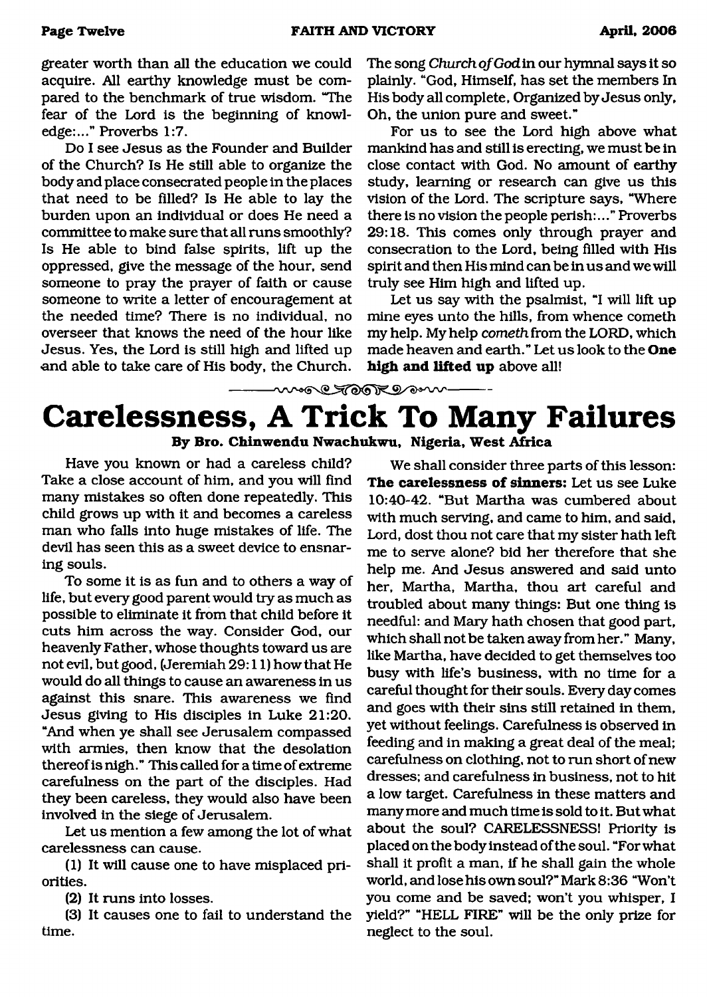greater worth than all the education we could acquire. All earthy knowledge must be compared to the benchmark of true wisdom. "The fear of the Lord is the beginning of knowledge:..." Proverbs 1:7.

Do I see Jesus as the Founder and Builder of the Church? Is He still able to organize the body and place consecrated people in the places that need to be filled? Is He able to lay the burden upon an individual or does He need a committee to make sure that all runs smoothly? Is He able to bind false spirits, lift up the oppressed, give the message of the hour, send someone to pray the prayer of faith or cause someone to write a letter of encouragement at the needed time? There is no individual, no overseer that knows the need of the hour like Jesus. Yes, the Lord is still high and lifted up and able to take care of His body, the Church.

The song *Church of God* in our hymnal says it so plainly. "God, Himself, has set the members In His body all complete, Organized by Jesus only, Oh, the union pure and sweet."

For us to see the Lord high above what mankind has and still is erecting, we must be in close contact with God. No amount of earthy study, learning or research can give us this vision of the Lord. The scripture says, "Where there is no vision the people perish:..." Proverbs 29:18. This comes only through prayer and consecration to the Lord, being filled with His spirit and then His mind can be in us and we will truly see Him high and lifted up.

Let us say with the psalmist, "I will lift up mine eyes unto the hills, from whence cometh my help. My help *cometh* from the LORD, which made heaven and earth." Let us look to the **One high and lifted up** above all!

## **Carelessness, A Trick To Many Failures By Bro. Chinwendu Nwachukwu, Nigeria, West Africa**

more Tooken w

Have you known or had a careless child? Take a close account of him, and you will find many mistakes so often done repeatedly. This child grows up with it and becomes a careless man who falls into huge mistakes of life. The devil has seen this as a sweet device to ensnaring souls.

To some it is as fun and to others a way of life, but every good parent would try as much as possible to eliminate it from that child before it cuts him across the way. Consider God, our heavenly Father, whose thoughts toward us are not evil, but good, (Jeremiah 29:11) how that He would do all things to cause an awareness in us against this snare. This awareness we find Jesus giving to His disciples in Luke 21:20. "And when ye shall see Jerusalem compassed with armies, then know that the desolation thereof is nigh." This called for a time of extreme carefulness on the part of the disciples. Had they been careless, they would also have been involved in the siege of Jerusalem.

Let us mention a few among the lot of what carelessness can cause.

(1) It will cause one to have misplaced priorities.

(2) It runs into losses.

(3) It causes one to fail to understand the time.

We shall consider three parts of this lesson: The carelessness of sinners: Let us see Luke 10:40-42. "But Martha was cumbered about with much serving, and came to him, and said, Lord, dost thou not care that my sister hath left me to serve alone? bid her therefore that she help me. And Jesus answered and said unto her, Martha, Martha, thou art careful and troubled about many things: But one thing is needful: and Mary hath chosen that good part, which shall not be taken away from her." Many, like Martha, have decided to get themselves too busy with life's business, with no time for a careful thought for their souls. Every day comes and goes with their sins still retained in them, yet without feelings. Carefulness is observed in feeding and in making a great deal of the meal; carefulness on clothing, not to run short of new dresses; and carefulness in business, not to hit a low target. Carefulness in these matters and many more and much time is sold to it. But what about the soul? CARELESSNESS! Priority is placed on the body instead of the soul. "For what shall it profit a man, if he shall gain the whole world, and lose his own soul?" Mark 8:36 "Won't you come and be saved; won't you whisper, I yield?" "HELL FIRE" will be the only prize for neglect to the soul.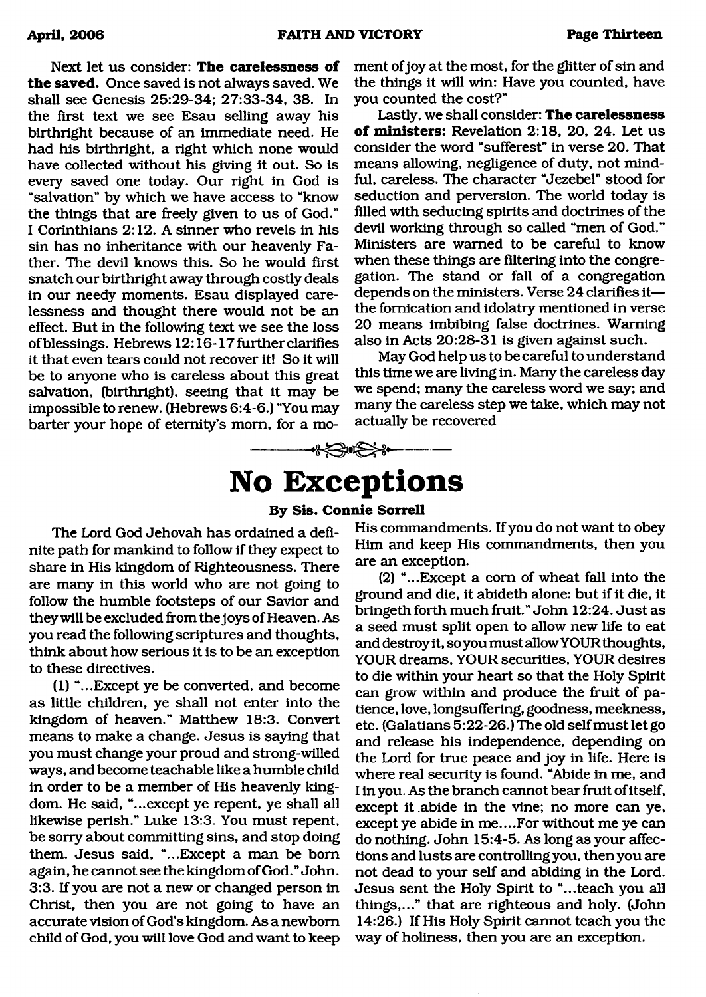Next let us consider: **The carelessness of the saved.** Once saved is not always saved. We shall see Genesis 25:29-34; 27:33-34, 38. In the first text we see Esau selling away his birthright because of an immediate need. He had his birthright, a right which none would have collected without his giving it out. So is every saved one today. Our right in God is "salvation" by which we have access to "know the things that are freely given to us of God." I Corinthians 2:12. A sinner who revels in his sin has no inheritance with our heavenly Father. The devil knows this. So he would first snatch our birthright away through costly deals in our needy moments. Esau displayed carelessness and thought there would not be an effect. But in the following text we see the loss of blessings. Hebrews 12:16-17 further clarifies it that even tears could not recover it! So it will be to anyone who is careless about this great salvation, (birthright), seeing that it may be impossible to renew. (Hebrews 6:4-6.) "You may barter your hope of eternity's mom, for a moment of joy at the most, for the glitter of sin and the things it will win: Have you counted, have you counted the cost?"

Lastly, we shall consider: **The carelessness of ministers:** Revelation 2:18, 20, 24. Let us consider the word "sufferest" in verse **20.** That means allowing, negligence of duty, not mindful, careless. The character "Jezebel" stood for seduction and perversion. The world today is filled with seducing spirits and doctrines of the devil working through so called "men of God." Ministers are warned to be careful to know when these things are filtering into the congregation. The stand or fall of a congregation depends on the ministers. Verse **24** clarifies it the fornication and idolatry mentioned in verse **20** means imbibing false doctrines. Warning also in Acts **20:28-31** is given against such.

May God help us to be careful to understand this time we are living in. Many the careless day we spend; many the careless word we say; and many the careless step we take, which may not actually be recovered

# <span id="page-12-0"></span>**No Exceptions**

-----------

### **By Sis. Connie Sorrell**

The Lord God Jehovah has ordained a definite path for mankind to follow if they expect to share in His kingdom of Righteousness. There are many in this world who are not going to follow the humble footsteps of our Savior and they will be excluded from the joys of Heaven. As you read the following scriptures and thoughts, think about how serious it is to be an exception to these directives.

(1) "...Except ye be converted, and become as little children, ye shall not enter into the kingdom of heaven." Matthew 18:3. Convert means to make a change. Jesus is saying that you must change your proud and strong-willed ways, and become teachable like a humble child in order to be a member of His heavenly kingdom. He said, "...except ye repent, ye shall all likewise perish." Luke 13:3. You must repent, be sorry about committing sins, and stop doing them. Jesus said, "...Except a man be bom again, he cannot see the kingdom of God." John. 3:3. If you are not a new or changed person in Christ, then you are not going to have an accurate vision of God's kingdom. As a newborn child of God, you will love God and want to keep

His commandments. If you do not want to obey Him and keep His commandments, then you are an exception.

(2) "...Except a com of wheat fall into the ground and die, it abideth alone: but if it die, it bringeth forth much fruit." John 12:24. Just as a seed must split open to allow new life to eat and destroy it, so you must allowYOUR thoughts, YOUR dreams, YOUR securities, YOUR desires to die within your heart so that the Holy Spirit can grow within and produce the fruit of patience, love, longsuffering, goodness, meekness, etc. (Galatians 5:22-26.) The old self must let go and release his independence, depending on the Lord for true peace and joy in life. Here is where real security is found. "Abide in me, and I in you. As the branch cannot bear fruit of itself, except it .abide in the vine; no more can ye, except ye abide in me....For without me ye can do nothing. John 15:4-5. As long as your affections and lusts are controlling you, then you are not dead to your self and abiding in the Lord. Jesus sent the Holy Spirit to "...teach you all things,..." that are righteous and holy. (John 14:26.) If His Holy Spirit cannot teach you the way of holiness, then you are an exception.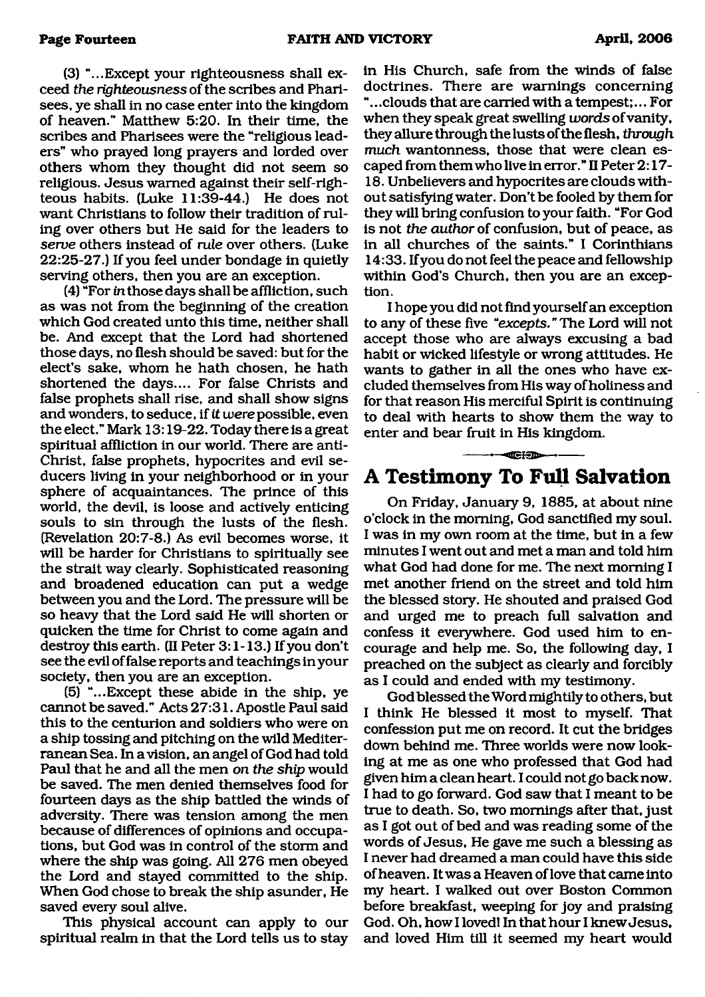(3) "...Except your righteousness shall exceed *the righteousness* of the scribes and Pharisees, ye shall in no case enter into the kingdom of heaven." Matthew 5:20. In their time, the scribes and Pharisees were the "religious leaders" who prayed long prayers and lorded over others whom they thought did not seem so religious. Jesus warned against their self-righteous habits. (Luke 11:39-44.) He does not want Christians to follow their tradition of ruling over others but He said for the leaders to *serve* others instead of *rule* over others. (Luke 22:25-27.) If you feel under bondage in quietly serving others, then you are an exception.

(4) "For in those days shall be affliction, such as was not from the beginning of the creation which God created unto this time, neither shall be. And except that the Lord had shortened those days, no flesh should be saved: but for the elect's sake, whom he hath chosen, he hath shortened the days.... For false Christs and false prophets shall rise, and shall show signs and wonders, to seduce, if *it* mere possible, even the elect." Mark 13:19-22. Today there is a great spiritual affliction in our world. There are anti-Christ, false prophets, hypocrites and evil seducers living in your neighborhood or in your sphere of acquaintances. The prince of this world, the devil, is loose and actively enticing souls to sin through the lusts of the flesh. (Revelation 20:7-8.) As evil becomes worse, it will be harder for Christians to spiritually see the strait way clearly. Sophisticated reasoning and broadened education can put a wedge between you and the Lord. The pressure will be so heavy that the Lord said He will shorten or quicken the time for Christ to come again and destroy this earth. (II Peter 3:1-13.) If you don't see the evil of false reports and teachings in your society, then you are an exception.

(5) "...Except these abide in the ship, ye cannot be saved." Acts 27:31. Apostle Paul said this to the centurion and soldiers who were on a ship tossing and pitching on the wild Mediterranean Sea. In a vision, an angel of God had told Paul that he and all the men *on the ship* would be saved. The men denied themselves food for fourteen days as the ship battled the winds of adversity. There was tension among the men because of differences of opinions and occupations, but God was in control of the storm and where the ship was going. All 276 men obeyed the Lord and stayed committed to the ship. When God chose to break the ship asunder, He saved every soul alive.

This physical account can apply to our spiritual realm in that the Lord tells us to stay in His Church, safe from the winds of false doctrines. There are warnings concerning ".. .clouds that are carried with a tempest;... For when they speak great swelling *words* of vanity, they allure through the lusts of the flesh, *through much* wantonness, those that were clean escaped from them who live in error." II Peter 2:17-18. Unbelievers and hypocrites are clouds without satisfying water. Don't be fooled by them for they will bring confusion to your faith. "For God is not *the author* of confusion, but of peace, as in all churches of the saints." I Corinthians 14:33. If you do not feel the peace and fellowship within God's Church, then you are an exception.

I hope you did not find yourself an exception to any of these five "*excepts.* " The Lord will not accept those who are always excusing a bad habit or wicked lifestyle or wrong attitudes. He wants to gather in all the ones who have excluded themselves from His way of holiness and for that reason His merciful Spirit is continuing to deal with hearts to show them the way to enter and bear fruit in His kingdom.

## **A Testimony To Full Salvation**

• nr t -----

On Friday, January 9, 1885, at about nine o'clock in the morning, God sanctified my soul. I was in my own room at the time, but in a few minutes I went out and met a man and told him what God had done for me. The next morning I met another friend on the street and told him the blessed story. He shouted and praised God and urged me to preach full salvation and confess it everywhere. God used him to encourage and help me. So, the following day, I preached on the subject as clearly and forcibly as I could and ended with my testimony.

God blessed the Word mightily to others, but I think He blessed it most to myself. That confession put me on record. It cut the bridges down behind me. Three worlds were now looking at me as one who professed that God had given him a clean heart. I could not go back now. I had to go forward. God saw that I meant to be true to death. So, two mornings after that, just as I got out of bed and was reading some of the words of Jesus, He gave me such a blessing as I never had dreamed a man could have this side of heaven. It was a Heaven of love that came into my heart. I walked out over Boston Common before breakfast, weeping for joy and praising God. Oh, how I loved! In that hour I knew Jesus, and loved Him till it seemed my heart would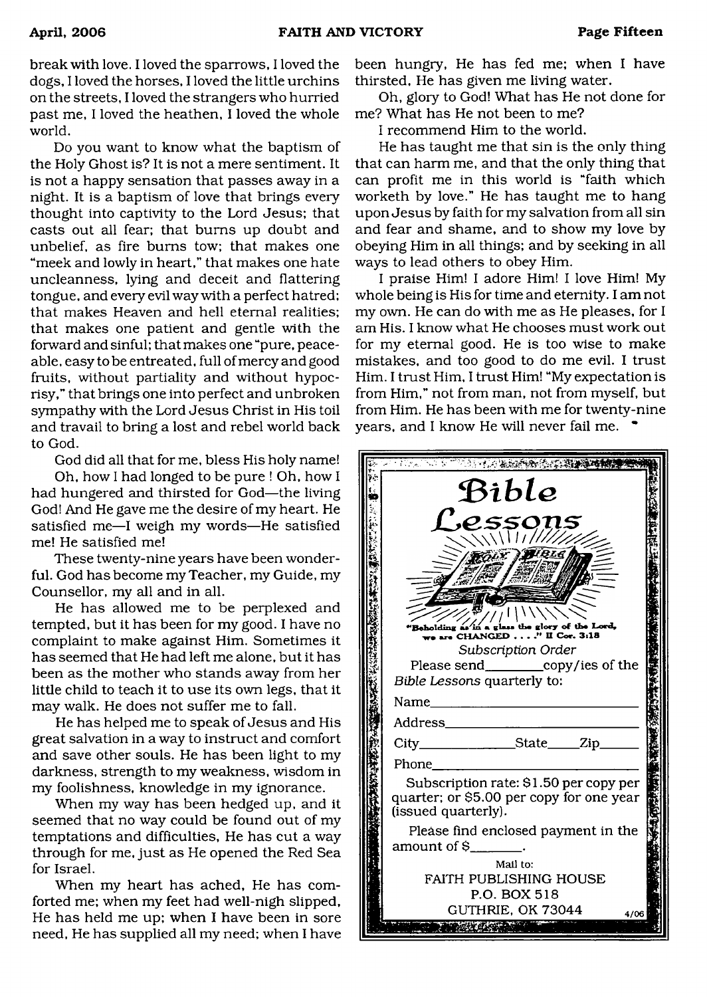break with love. I loved the sparrows, I loved the dogs, I loved the horses, I loved the little urchins on the streets, I loved the strangers who hurried past me, I loved the heathen, I loved the whole world.

Do you want to know what the baptism of the Holy Ghost is? It is not a mere sentiment. It is not a happy sensation that passes away in a night. It is a baptism of love that brings every thought into captivity to the Lord Jesus; that casts out all fear; that bums up doubt and unbelief, as fire bums tow; that makes one "meek and lowly in heart," that makes one hate uncleanness, lying and deceit and flattering tongue, and every evil way with a perfect hatred; that makes Heaven and hell eternal realities; that makes one patient and gentle with the forward and sinful; that makes one "pure, peaceable, easy to be entreated, full of mercy and good fruits, without partiality and without hypocrisy," that brings one into perfect and unbroken sympathy with the Lord Jesus Christ in His toil and travail to bring a lost and rebel world back to God.

God did all that for me, bless His holy name!

Oh, how I had longed to be pure ! Oh, how I had hungered and thirsted for God—the living God! And He gave me the desire of my heart. He satisfied me—I weigh my words—He satisfied me! He satisfied me!

These twenty-nine years have been wonderful. God has become my Teacher, my Guide, my Counsellor, my all and in all.

He has allowed me to be perplexed and tempted, but it has been for my good. I have no complaint to make against Him. Sometimes it has seemed that He had left me alone, but it has been as the mother who stands away from her little child to teach it to use its own legs, that it may walk. He does not suffer me to fall.

He has helped me to speak of Jesus and His great salvation in a way to instruct and comfort and save other souls. He has been light to my darkness, strength to my weakness, wisdom in my foolishness, knowledge in my ignorance.

When my way has been hedged up, and it seemed that no way could be found out of my temptations and difficulties, He has cut a way through for me, just as He opened the Red Sea for Israel.

When my heart has ached. He has comforted me; when my feet had well-nigh slipped, He has held me up; when I have been in sore need. He has supplied all my need; when I have

been hungry, He has fed me; when I have thirsted, He has given me living water.

Oh, glory to God! What has He not done for me? What has He not been to me?

I recommend Him to the world.

He has taught me that sin is the only thing that can harm me, and that the only thing that can profit me in this world is "faith which worketh by love." He has taught me to hang upon Jesus by faith for my salvation from all sin and fear and shame, and to show my love by obeying Him in all things; and by seeking in all ways to lead others to obey Him.

I praise Him! I adore Him! I love Him! My whole being is His for time and eternity. I am not my own. He can do with me as He pleases, for I am His. I know what He chooses must work out for my eternal good. He is too wise to make mistakes, and too good to do me evil. I trust Him. I trust Him, I trust Him! "My expectation is from Him," not from man, not from myself, but from Him. He has been with me for twenty-nine years, and I know He will never fail me.  $\bullet$ 

| こうしょう あったい にっぽうしゅ                                                                                         |  |
|-----------------------------------------------------------------------------------------------------------|--|
| Bible                                                                                                     |  |
| <i><b>SSO</b></i><br>$\sqrt{11777}$                                                                       |  |
| VBIE                                                                                                      |  |
|                                                                                                           |  |
| Beholding as in a glass the glory of the Lord,<br>re CHANGED" II Cor. 3:18                                |  |
| Subscription Order<br>Please send____________copy/ies of the<br>Bible Lessons quarterly to:               |  |
| Name                                                                                                      |  |
| Address____                                                                                               |  |
| City__________________State_____Zip_                                                                      |  |
| Phone                                                                                                     |  |
| Subscription rate: \$1.50 per copy per<br>quarter; or \$5.00 per copy for one year<br>(issued quarterly). |  |
| Please find enclosed payment in the<br>amount of $\$\$ $\qquad$ .                                         |  |
| Mail to:<br><b>FAITH PUBLISHING HOUSE</b><br>P.O. BOX 518                                                 |  |
| GUTHRIE, OK 73044<br>4/06                                                                                 |  |
|                                                                                                           |  |